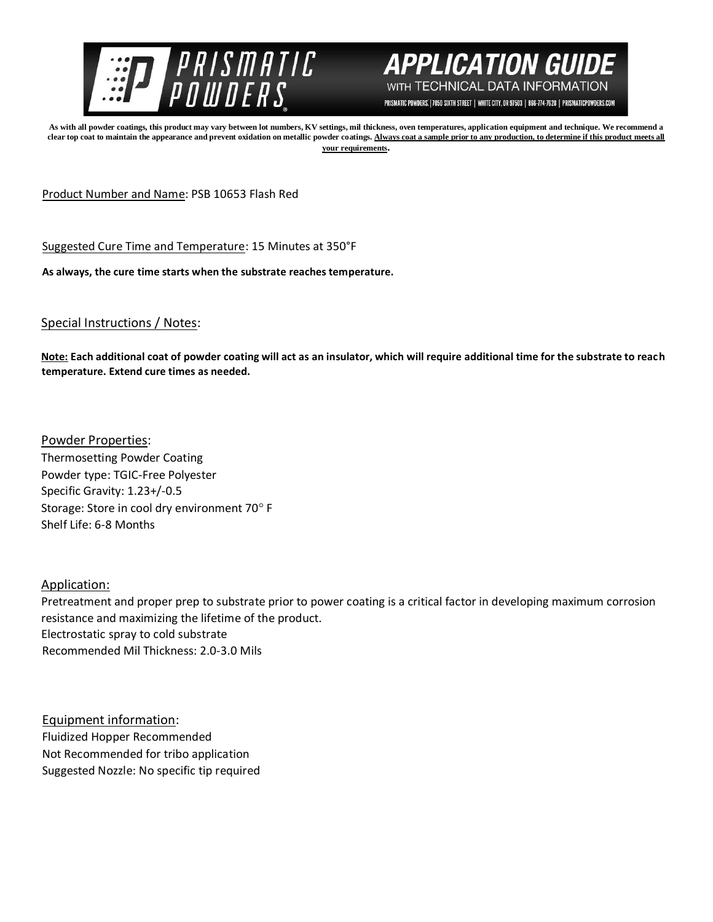



PRISMATIC POWDERS. | 7050 SIXTH STREET | WHITE CITY, OR 97503 | 866-774-7628 | PRISMATICPOWDERS.COM

**As with all powder coatings, this product may vary between lot numbers, KV settings, mil thickness, oven temperatures, application equipment and technique. We recommend a**  clear top coat to maintain the appearance and prevent oxidation on metallic powder coatings. Always coat a sample prior to any production, to determine if this product meets all **your requirements.** 

Product Number and Name: PSB 10653 Flash Red

Suggested Cure Time and Temperature: 15 Minutes at 350°F

**As always, the cure time starts when the substrate reaches temperature.**

## Special Instructions / Notes:

**Note: Each additional coat of powder coating will act as an insulator, which will require additional time for the substrate to reach temperature. Extend cure times as needed.** 

Powder Properties: Thermosetting Powder Coating Powder type: TGIC-Free Polyester Specific Gravity: 1.23+/-0.5 Storage: Store in cool dry environment 70° F Shelf Life: 6-8 Months

Application:

Pretreatment and proper prep to substrate prior to power coating is a critical factor in developing maximum corrosion resistance and maximizing the lifetime of the product. Electrostatic spray to cold substrate Recommended Mil Thickness: 2.0-3.0 Mils

Equipment information: Fluidized Hopper Recommended Not Recommended for tribo application Suggested Nozzle: No specific tip required